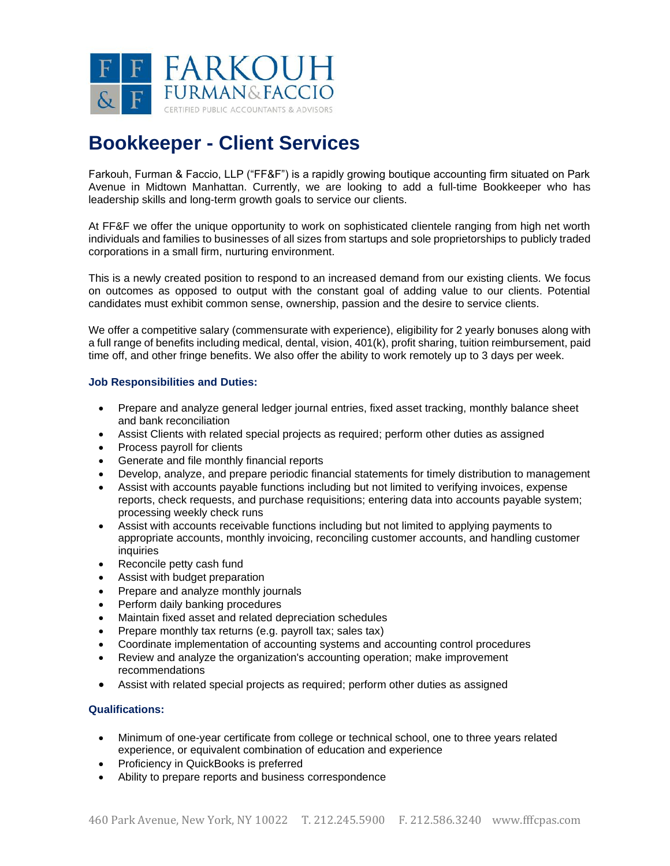

## **Bookkeeper - Client Services**

Farkouh, Furman & Faccio, LLP ("FF&F") is a rapidly growing boutique accounting firm situated on Park Avenue in Midtown Manhattan. Currently, we are looking to add a full-time Bookkeeper who has leadership skills and long-term growth goals to service our clients.

At FF&F we offer the unique opportunity to work on sophisticated clientele ranging from high net worth individuals and families to businesses of all sizes from startups and sole proprietorships to publicly traded corporations in a small firm, nurturing environment.

This is a newly created position to respond to an increased demand from our existing clients. We focus on outcomes as opposed to output with the constant goal of adding value to our clients. Potential candidates must exhibit common sense, ownership, passion and the desire to service clients.

We offer a competitive salary (commensurate with experience), eligibility for 2 yearly bonuses along with a full range of benefits including medical, dental, vision, 401(k), profit sharing, tuition reimbursement, paid time off, and other fringe benefits. We also offer the ability to work remotely up to 3 days per week.

## **Job Responsibilities and Duties:**

- Prepare and analyze general ledger journal entries, fixed asset tracking, monthly balance sheet and bank reconciliation
- Assist Clients with related special projects as required; perform other duties as assigned
- Process payroll for clients
- Generate and file monthly financial reports
- Develop, analyze, and prepare periodic financial statements for timely distribution to management
- Assist with accounts payable functions including but not limited to verifying invoices, expense reports, check requests, and purchase requisitions; entering data into accounts payable system; processing weekly check runs
- Assist with accounts receivable functions including but not limited to applying payments to appropriate accounts, monthly invoicing, reconciling customer accounts, and handling customer inquiries
- Reconcile petty cash fund
- Assist with budget preparation
- Prepare and analyze monthly journals
- Perform daily banking procedures
- Maintain fixed asset and related depreciation schedules
- Prepare monthly tax returns (e.g. payroll tax; sales tax)
- Coordinate implementation of accounting systems and accounting control procedures
- Review and analyze the organization's accounting operation; make improvement recommendations
- Assist with related special projects as required; perform other duties as assigned

## **Qualifications:**

- Minimum of one-year certificate from college or technical school, one to three years related experience, or equivalent combination of education and experience
- Proficiency in QuickBooks is preferred
- Ability to prepare reports and business correspondence